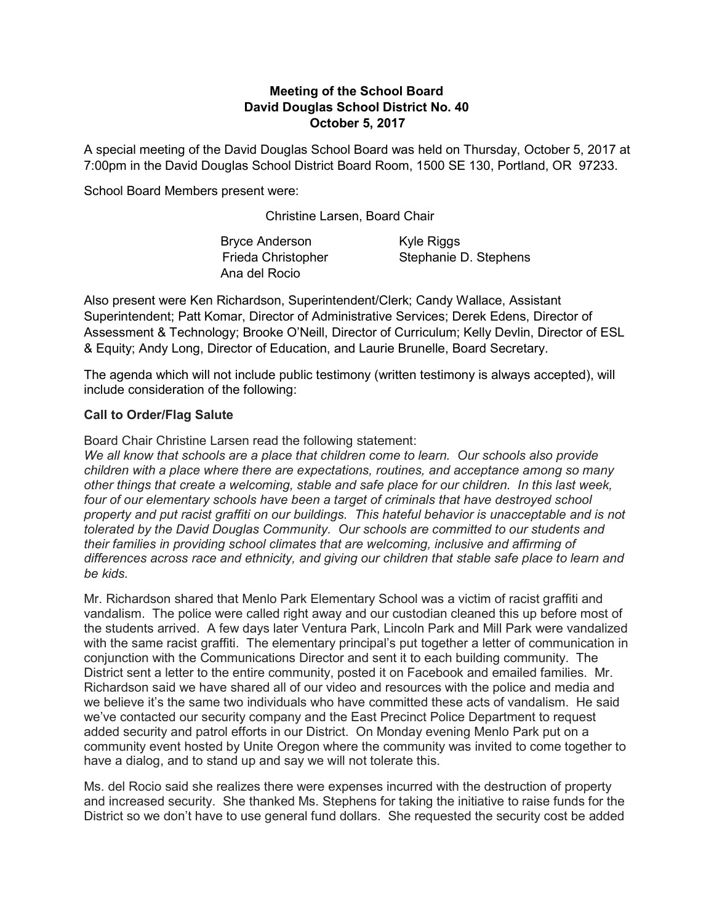## Meeting of the School Board David Douglas School District No. 40 October 5, 2017

A special meeting of the David Douglas School Board was held on Thursday, October 5, 2017 at 7:00pm in the David Douglas School District Board Room, 1500 SE 130, Portland, OR 97233.

School Board Members present were:

Christine Larsen, Board Chair

| <b>Bryce Anderson</b> | Kyle Riggs            |
|-----------------------|-----------------------|
| Frieda Christopher    | Stephanie D. Stephens |
| Ana del Rocio         |                       |

Also present were Ken Richardson, Superintendent/Clerk; Candy Wallace, Assistant Superintendent; Patt Komar, Director of Administrative Services; Derek Edens, Director of Assessment & Technology; Brooke O'Neill, Director of Curriculum; Kelly Devlin, Director of ESL & Equity; Andy Long, Director of Education, and Laurie Brunelle, Board Secretary.

The agenda which will not include public testimony (written testimony is always accepted), will include consideration of the following:

## Call to Order/Flag Salute

Board Chair Christine Larsen read the following statement:

We all know that schools are a place that children come to learn. Our schools also provide children with a place where there are expectations, routines, and acceptance among so many other things that create a welcoming, stable and safe place for our children. In this last week, four of our elementary schools have been a target of criminals that have destroyed school property and put racist graffiti on our buildings. This hateful behavior is unacceptable and is not tolerated by the David Douglas Community. Our schools are committed to our students and their families in providing school climates that are welcoming, inclusive and affirming of differences across race and ethnicity, and giving our children that stable safe place to learn and be kids.

Mr. Richardson shared that Menlo Park Elementary School was a victim of racist graffiti and vandalism. The police were called right away and our custodian cleaned this up before most of the students arrived. A few days later Ventura Park, Lincoln Park and Mill Park were vandalized with the same racist graffiti. The elementary principal's put together a letter of communication in conjunction with the Communications Director and sent it to each building community. The District sent a letter to the entire community, posted it on Facebook and emailed families. Mr. Richardson said we have shared all of our video and resources with the police and media and we believe it's the same two individuals who have committed these acts of vandalism. He said we've contacted our security company and the East Precinct Police Department to request added security and patrol efforts in our District. On Monday evening Menlo Park put on a community event hosted by Unite Oregon where the community was invited to come together to have a dialog, and to stand up and say we will not tolerate this.

Ms. del Rocio said she realizes there were expenses incurred with the destruction of property and increased security. She thanked Ms. Stephens for taking the initiative to raise funds for the District so we don't have to use general fund dollars. She requested the security cost be added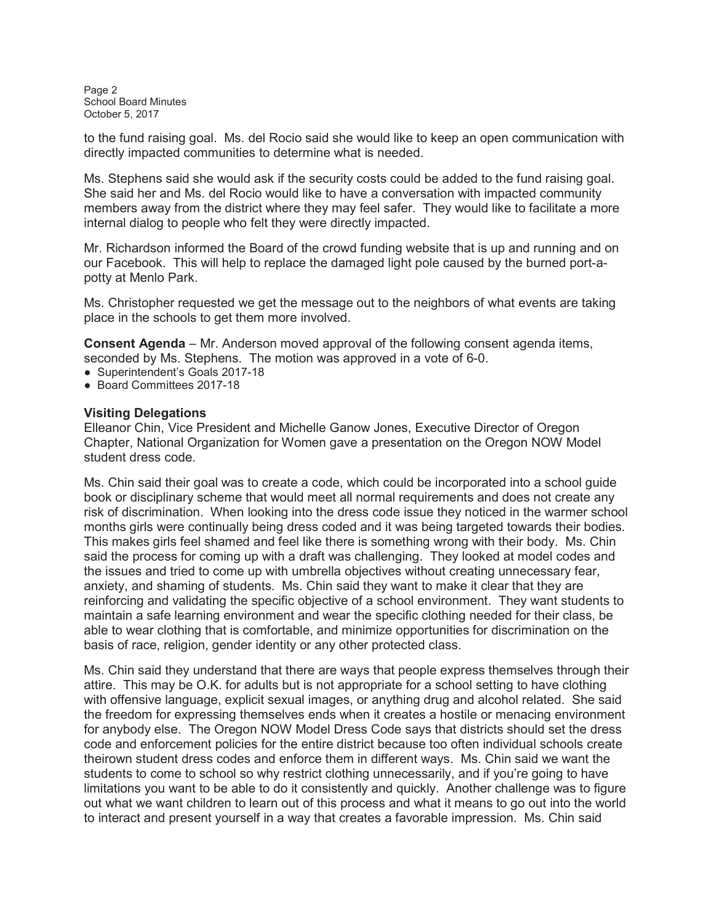Page 2 School Board Minutes October 5, 2017

to the fund raising goal. Ms. del Rocio said she would like to keep an open communication with directly impacted communities to determine what is needed.

Ms. Stephens said she would ask if the security costs could be added to the fund raising goal. She said her and Ms. del Rocio would like to have a conversation with impacted community members away from the district where they may feel safer. They would like to facilitate a more internal dialog to people who felt they were directly impacted.

Mr. Richardson informed the Board of the crowd funding website that is up and running and on our Facebook. This will help to replace the damaged light pole caused by the burned port-apotty at Menlo Park.

Ms. Christopher requested we get the message out to the neighbors of what events are taking place in the schools to get them more involved.

Consent Agenda – Mr. Anderson moved approval of the following consent agenda items, seconded by Ms. Stephens. The motion was approved in a vote of 6-0.

- Superintendent's Goals 2017-18
- Board Committees 2017-18

## Visiting Delegations

Elleanor Chin, Vice President and Michelle Ganow Jones, Executive Director of Oregon Chapter, National Organization for Women gave a presentation on the Oregon NOW Model student dress code.

Ms. Chin said their goal was to create a code, which could be incorporated into a school guide book or disciplinary scheme that would meet all normal requirements and does not create any risk of discrimination. When looking into the dress code issue they noticed in the warmer school months girls were continually being dress coded and it was being targeted towards their bodies. This makes girls feel shamed and feel like there is something wrong with their body. Ms. Chin said the process for coming up with a draft was challenging. They looked at model codes and the issues and tried to come up with umbrella objectives without creating unnecessary fear, anxiety, and shaming of students. Ms. Chin said they want to make it clear that they are reinforcing and validating the specific objective of a school environment. They want students to maintain a safe learning environment and wear the specific clothing needed for their class, be able to wear clothing that is comfortable, and minimize opportunities for discrimination on the basis of race, religion, gender identity or any other protected class.

Ms. Chin said they understand that there are ways that people express themselves through their attire. This may be O.K. for adults but is not appropriate for a school setting to have clothing with offensive language, explicit sexual images, or anything drug and alcohol related. She said the freedom for expressing themselves ends when it creates a hostile or menacing environment for anybody else. The Oregon NOW Model Dress Code says that districts should set the dress code and enforcement policies for the entire district because too often individual schools create theirown student dress codes and enforce them in different ways. Ms. Chin said we want the students to come to school so why restrict clothing unnecessarily, and if you're going to have limitations you want to be able to do it consistently and quickly. Another challenge was to figure out what we want children to learn out of this process and what it means to go out into the world to interact and present yourself in a way that creates a favorable impression. Ms. Chin said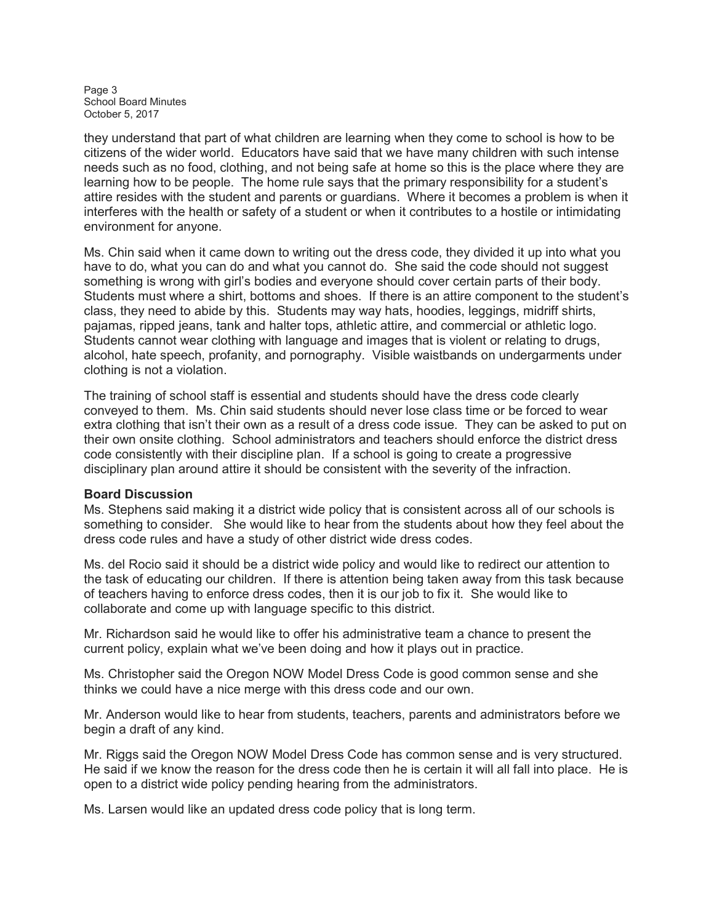Page 3 School Board Minutes October 5, 2017

they understand that part of what children are learning when they come to school is how to be citizens of the wider world. Educators have said that we have many children with such intense needs such as no food, clothing, and not being safe at home so this is the place where they are learning how to be people. The home rule says that the primary responsibility for a student's attire resides with the student and parents or guardians. Where it becomes a problem is when it interferes with the health or safety of a student or when it contributes to a hostile or intimidating environment for anyone.

Ms. Chin said when it came down to writing out the dress code, they divided it up into what you have to do, what you can do and what you cannot do. She said the code should not suggest something is wrong with girl's bodies and everyone should cover certain parts of their body. Students must where a shirt, bottoms and shoes. If there is an attire component to the student's class, they need to abide by this. Students may way hats, hoodies, leggings, midriff shirts, pajamas, ripped jeans, tank and halter tops, athletic attire, and commercial or athletic logo. Students cannot wear clothing with language and images that is violent or relating to drugs, alcohol, hate speech, profanity, and pornography. Visible waistbands on undergarments under clothing is not a violation.

The training of school staff is essential and students should have the dress code clearly conveyed to them. Ms. Chin said students should never lose class time or be forced to wear extra clothing that isn't their own as a result of a dress code issue. They can be asked to put on their own onsite clothing. School administrators and teachers should enforce the district dress code consistently with their discipline plan. If a school is going to create a progressive disciplinary plan around attire it should be consistent with the severity of the infraction.

## Board Discussion

Ms. Stephens said making it a district wide policy that is consistent across all of our schools is something to consider. She would like to hear from the students about how they feel about the dress code rules and have a study of other district wide dress codes.

Ms. del Rocio said it should be a district wide policy and would like to redirect our attention to the task of educating our children. If there is attention being taken away from this task because of teachers having to enforce dress codes, then it is our job to fix it. She would like to collaborate and come up with language specific to this district.

Mr. Richardson said he would like to offer his administrative team a chance to present the current policy, explain what we've been doing and how it plays out in practice.

Ms. Christopher said the Oregon NOW Model Dress Code is good common sense and she thinks we could have a nice merge with this dress code and our own.

Mr. Anderson would like to hear from students, teachers, parents and administrators before we begin a draft of any kind.

Mr. Riggs said the Oregon NOW Model Dress Code has common sense and is very structured. He said if we know the reason for the dress code then he is certain it will all fall into place. He is open to a district wide policy pending hearing from the administrators.

Ms. Larsen would like an updated dress code policy that is long term.